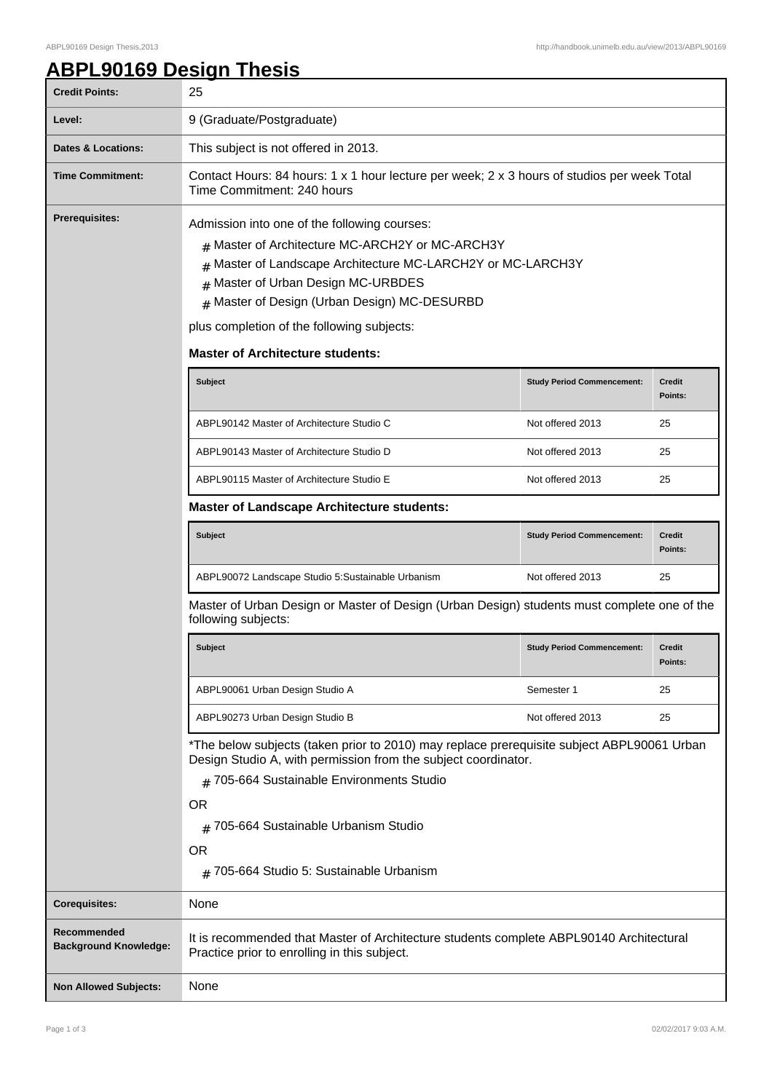## **ABPL90169 Design Thesis**

| <b>Credit Points:</b>                       | 25                                                                                                                                                                                                                                                                                                                                                        |                                   |                          |  |
|---------------------------------------------|-----------------------------------------------------------------------------------------------------------------------------------------------------------------------------------------------------------------------------------------------------------------------------------------------------------------------------------------------------------|-----------------------------------|--------------------------|--|
| Level:                                      | 9 (Graduate/Postgraduate)                                                                                                                                                                                                                                                                                                                                 |                                   |                          |  |
| <b>Dates &amp; Locations:</b>               | This subject is not offered in 2013.                                                                                                                                                                                                                                                                                                                      |                                   |                          |  |
| <b>Time Commitment:</b>                     | Contact Hours: 84 hours: 1 x 1 hour lecture per week; 2 x 3 hours of studios per week Total<br>Time Commitment: 240 hours                                                                                                                                                                                                                                 |                                   |                          |  |
| <b>Prerequisites:</b>                       | Admission into one of the following courses:<br>Master of Architecture MC-ARCH2Y or MC-ARCH3Y<br>#<br>Master of Landscape Architecture MC-LARCH2Y or MC-LARCH3Y<br>#<br>Master of Urban Design MC-URBDES<br>#<br>Master of Design (Urban Design) MC-DESURBD<br>#<br>plus completion of the following subjects:<br><b>Master of Architecture students:</b> |                                   |                          |  |
|                                             | <b>Subject</b>                                                                                                                                                                                                                                                                                                                                            | <b>Study Period Commencement:</b> | <b>Credit</b><br>Points: |  |
|                                             | ABPL90142 Master of Architecture Studio C                                                                                                                                                                                                                                                                                                                 | Not offered 2013                  | 25                       |  |
|                                             | ABPL90143 Master of Architecture Studio D                                                                                                                                                                                                                                                                                                                 | Not offered 2013                  | 25                       |  |
|                                             | ABPL90115 Master of Architecture Studio E                                                                                                                                                                                                                                                                                                                 | Not offered 2013                  | 25                       |  |
|                                             | <b>Master of Landscape Architecture students:</b>                                                                                                                                                                                                                                                                                                         |                                   |                          |  |
|                                             | <b>Subject</b>                                                                                                                                                                                                                                                                                                                                            | <b>Study Period Commencement:</b> | <b>Credit</b><br>Points: |  |
|                                             | ABPL90072 Landscape Studio 5:Sustainable Urbanism                                                                                                                                                                                                                                                                                                         | Not offered 2013                  | 25                       |  |
|                                             | Master of Urban Design or Master of Design (Urban Design) students must complete one of the<br>following subjects:                                                                                                                                                                                                                                        |                                   |                          |  |
|                                             | <b>Subject</b>                                                                                                                                                                                                                                                                                                                                            | <b>Study Period Commencement:</b> | Credit<br>Points:        |  |
|                                             | ABPL90061 Urban Design Studio A                                                                                                                                                                                                                                                                                                                           | Semester 1                        | 25                       |  |
|                                             | ABPL90273 Urban Design Studio B                                                                                                                                                                                                                                                                                                                           | Not offered 2013                  | 25                       |  |
|                                             | *The below subjects (taken prior to 2010) may replace prerequisite subject ABPL90061 Urban<br>Design Studio A, with permission from the subject coordinator.<br># 705-664 Sustainable Environments Studio<br><b>OR</b><br># 705-664 Sustainable Urbanism Studio<br><b>OR</b><br>$#$ 705-664 Studio 5: Sustainable Urbanism                                |                                   |                          |  |
| <b>Corequisites:</b>                        | None                                                                                                                                                                                                                                                                                                                                                      |                                   |                          |  |
| Recommended<br><b>Background Knowledge:</b> | It is recommended that Master of Architecture students complete ABPL90140 Architectural<br>Practice prior to enrolling in this subject.                                                                                                                                                                                                                   |                                   |                          |  |
| <b>Non Allowed Subjects:</b>                | None                                                                                                                                                                                                                                                                                                                                                      |                                   |                          |  |